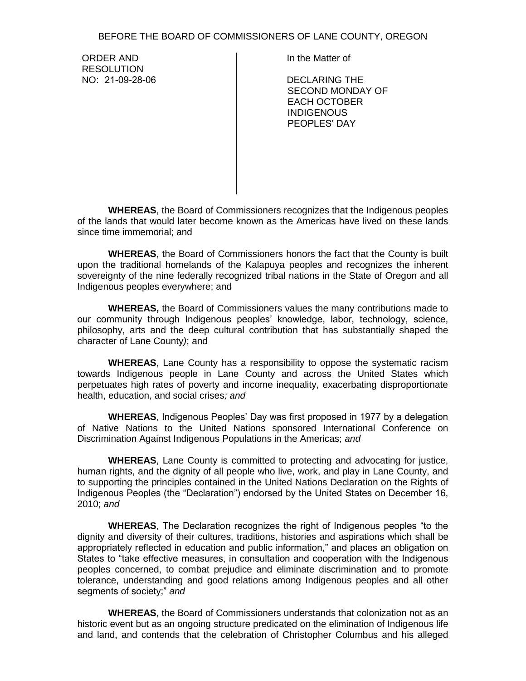BEFORE THE BOARD OF COMMISSIONERS OF LANE COUNTY, OREGON

ORDER AND **RESOLUTION** NO: 21-09-28-06 In the Matter of

DECLARING THE SECOND MONDAY OF EACH OCTOBER INDIGENOUS PEOPLES' DAY

**WHEREAS**, the Board of Commissioners recognizes that the Indigenous peoples of the lands that would later become known as the Americas have lived on these lands since time immemorial; and

**WHEREAS**, the Board of Commissioners honors the fact that the County is built upon the traditional homelands of the Kalapuya peoples and recognizes the inherent sovereignty of the nine federally recognized tribal nations in the State of Oregon and all Indigenous peoples everywhere; and

**WHEREAS,** the Board of Commissioners values the many contributions made to our community through Indigenous peoples' knowledge, labor, technology, science, philosophy, arts and the deep cultural contribution that has substantially shaped the character of Lane County*)*; and

**WHEREAS**, Lane County has a responsibility to oppose the systematic racism towards Indigenous people in Lane County and across the United States which perpetuates high rates of poverty and income inequality, exacerbating disproportionate health, education, and social crises*; and* 

**WHEREAS**, Indigenous Peoples' Day was first proposed in 1977 by a delegation of Native Nations to the United Nations sponsored International Conference on Discrimination Against Indigenous Populations in the Americas; *and*

**WHEREAS**, Lane County is committed to protecting and advocating for justice, human rights, and the dignity of all people who live, work, and play in Lane County, and to supporting the principles contained in the United Nations Declaration on the Rights of Indigenous Peoples (the "Declaration") endorsed by the United States on December 16, 2010; *and*

**WHEREAS**, The Declaration recognizes the right of Indigenous peoples "to the dignity and diversity of their cultures, traditions, histories and aspirations which shall be appropriately reflected in education and public information," and places an obligation on States to "take effective measures, in consultation and cooperation with the Indigenous peoples concerned, to combat prejudice and eliminate discrimination and to promote tolerance, understanding and good relations among Indigenous peoples and all other segments of society;" *and* 

**WHEREAS**, the Board of Commissioners understands that colonization not as an historic event but as an ongoing structure predicated on the elimination of Indigenous life and land, and contends that the celebration of Christopher Columbus and his alleged